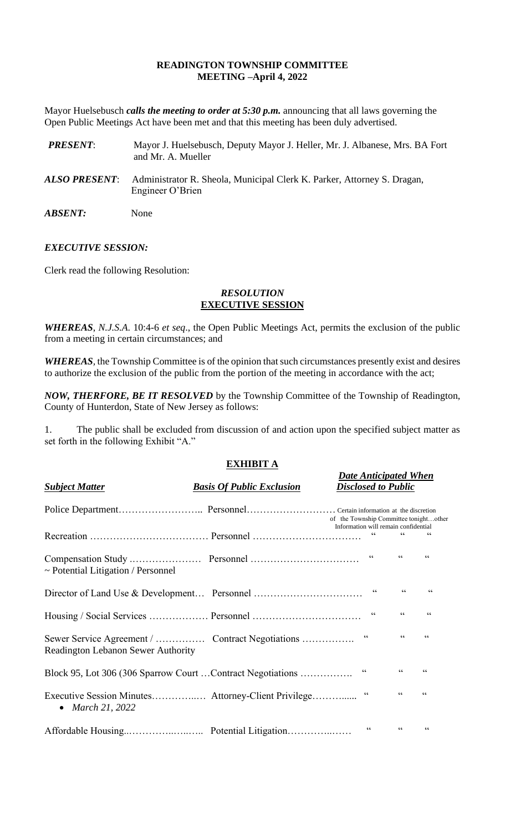## **READINGTON TOWNSHIP COMMITTEE MEETING –April 4, 2022**

Mayor Huelsebusch *calls the meeting to order at 5:30 p.m.* announcing that all laws governing the Open Public Meetings Act have been met and that this meeting has been duly advertised.

| <b>PRESENT:</b>       | Mayor J. Huelsebusch, Deputy Mayor J. Heller, Mr. J. Albanese, Mrs. BA Fort<br>and Mr. A. Mueller |
|-----------------------|---------------------------------------------------------------------------------------------------|
| ALSO PRESENT:         | Administrator R. Sheola, Municipal Clerk K. Parker, Attorney S. Dragan,<br>Engineer O'Brien       |
| <i><b>ABSENT:</b></i> | None                                                                                              |

## *EXECUTIVE SESSION:*

Clerk read the following Resolution:

## *RESOLUTION* **EXECUTIVE SESSION**

*WHEREAS*, *N.J.S.A*. 10:4-6 *et seq*., the Open Public Meetings Act, permits the exclusion of the public from a meeting in certain circumstances; and

*WHEREAS,* the Township Committee is of the opinion that such circumstances presently exist and desires to authorize the exclusion of the public from the portion of the meeting in accordance with the act;

*NOW, THERFORE, BE IT RESOLVED* by the Township Committee of the Township of Readington, County of Hunterdon, State of New Jersey as follows:

1. The public shall be excluded from discussion of and action upon the specified subject matter as set forth in the following Exhibit "A."

# **EXHIBIT A**

*Date Anticipated When*

| <b>Subject Matter</b>                   | <b>Basis Of Public Exclusion</b>                           | Disclosed to Public                                                            |                 |                          |
|-----------------------------------------|------------------------------------------------------------|--------------------------------------------------------------------------------|-----------------|--------------------------|
|                                         |                                                            | of the Township Committee tonightother<br>Information will remain confidential |                 |                          |
|                                         |                                                            | $\textsf{G}\,\textsf{G}$                                                       | $\zeta$ $\zeta$ | 66                       |
| $\sim$ Potential Litigation / Personnel |                                                            | $\zeta\,\zeta$                                                                 | $\zeta\,\zeta$  | $\textsf{G}\,\textsf{G}$ |
|                                         |                                                            |                                                                                |                 | 66                       |
|                                         |                                                            | $\zeta\,\zeta$                                                                 | $\zeta \zeta$   | $\zeta$ $\zeta$          |
| Readington Lebanon Sewer Authority      | Sewer Service Agreement /  Contract Negotiations           | $\zeta \zeta$                                                                  | $\zeta \zeta$   | $\textsf{G}\,\textsf{G}$ |
|                                         | Block 95, Lot 306 (306 Sparrow Court Contract Negotiations | $\textsf{G}\,\textsf{G}$                                                       | $\zeta\,\zeta$  | $\textsf{G}\,\textsf{G}$ |
| • March 21, 2022                        |                                                            | $\zeta\,\zeta$                                                                 | 66              | $\zeta \zeta$            |
|                                         |                                                            | 66                                                                             | $\zeta$ $\zeta$ | $\zeta \zeta$            |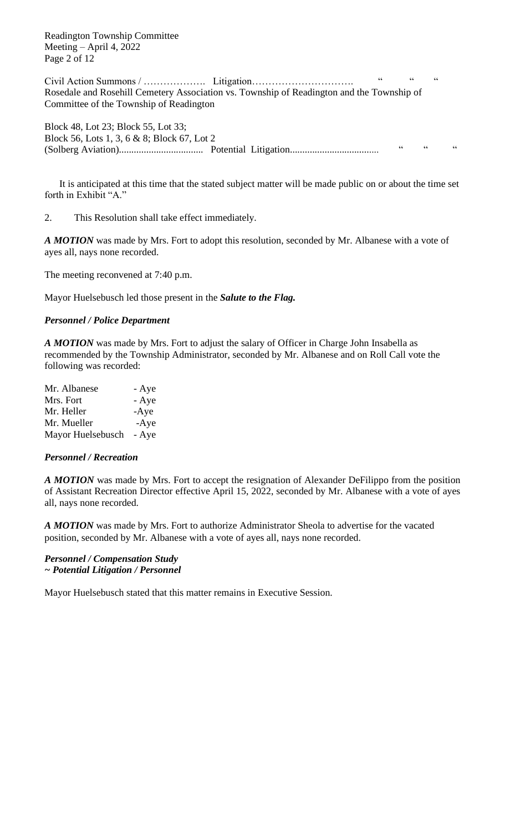Readington Township Committee Meeting – April 4, 2022 Page 2 of 12

Civil Action Summons / ………………. Litigation…………………………. " " " Rosedale and Rosehill Cemetery Association vs. Township of Readington and the Township of Committee of the Township of Readington

Block 48, Lot 23; Block 55, Lot 33; Block 56, Lots 1, 3, 6 & 8; Block 67, Lot 2 (Solberg Aviation).................................. Potential Litigation.................................... " " "

It is anticipated at this time that the stated subject matter will be made public on or about the time set forth in Exhibit "A."

2. This Resolution shall take effect immediately.

*A MOTION* was made by Mrs. Fort to adopt this resolution, seconded by Mr. Albanese with a vote of ayes all, nays none recorded.

The meeting reconvened at 7:40 p.m.

Mayor Huelsebusch led those present in the *Salute to the Flag.*

## *Personnel / Police Department*

*A MOTION* was made by Mrs. Fort to adjust the salary of Officer in Charge John Insabella as recommended by the Township Administrator, seconded by Mr. Albanese and on Roll Call vote the following was recorded:

| - Aye  |
|--------|
| - Aye  |
| $-Aye$ |
| $-Aye$ |
| - Aye  |
|        |

#### *Personnel / Recreation*

*A MOTION* was made by Mrs. Fort to accept the resignation of Alexander DeFilippo from the position of Assistant Recreation Director effective April 15, 2022, seconded by Mr. Albanese with a vote of ayes all, nays none recorded.

*A MOTION* was made by Mrs. Fort to authorize Administrator Sheola to advertise for the vacated position, seconded by Mr. Albanese with a vote of ayes all, nays none recorded.

*Personnel / Compensation Study ~ Potential Litigation / Personnel*

Mayor Huelsebusch stated that this matter remains in Executive Session.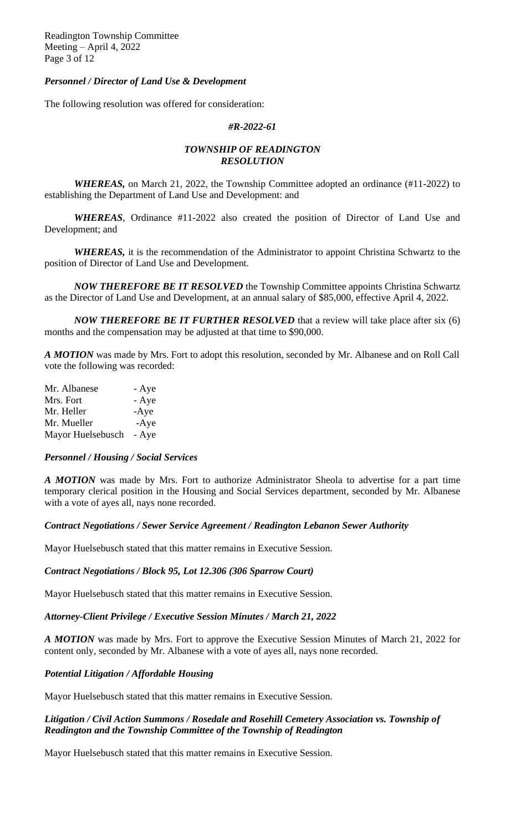Readington Township Committee Meeting – April 4, 2022 Page 3 of 12

## *Personnel / Director of Land Use & Development*

The following resolution was offered for consideration:

#### *#R-2022-61*

## *TOWNSHIP OF READINGTON RESOLUTION*

*WHEREAS*, on March 21, 2022, the Township Committee adopted an ordinance (#11-2022) to establishing the Department of Land Use and Development: and

*WHEREAS*, Ordinance #11-2022 also created the position of Director of Land Use and Development; and

*WHEREAS,* it is the recommendation of the Administrator to appoint Christina Schwartz to the position of Director of Land Use and Development.

*NOW THEREFORE BE IT RESOLVED* the Township Committee appoints Christina Schwartz as the Director of Land Use and Development, at an annual salary of \$85,000, effective April 4, 2022.

*NOW THEREFORE BE IT FURTHER RESOLVED* that a review will take place after six (6) months and the compensation may be adjusted at that time to \$90,000.

*A MOTION* was made by Mrs. Fort to adopt this resolution, seconded by Mr. Albanese and on Roll Call vote the following was recorded:

| - Aye  |
|--------|
| - Aye  |
| $-Aye$ |
| $-Aye$ |
| - Aye  |
|        |

#### *Personnel / Housing / Social Services*

*A MOTION* was made by Mrs. Fort to authorize Administrator Sheola to advertise for a part time temporary clerical position in the Housing and Social Services department, seconded by Mr. Albanese with a vote of ayes all, nays none recorded.

## *Contract Negotiations / Sewer Service Agreement / Readington Lebanon Sewer Authority*

Mayor Huelsebusch stated that this matter remains in Executive Session.

## *Contract Negotiations / Block 95, Lot 12.306 (306 Sparrow Court)*

Mayor Huelsebusch stated that this matter remains in Executive Session.

## *Attorney-Client Privilege / Executive Session Minutes / March 21, 2022*

*A MOTION* was made by Mrs. Fort to approve the Executive Session Minutes of March 21, 2022 for content only, seconded by Mr. Albanese with a vote of ayes all, nays none recorded.

## *Potential Litigation / Affordable Housing*

Mayor Huelsebusch stated that this matter remains in Executive Session.

## *Litigation / Civil Action Summons / Rosedale and Rosehill Cemetery Association vs. Township of Readington and the Township Committee of the Township of Readington*

Mayor Huelsebusch stated that this matter remains in Executive Session.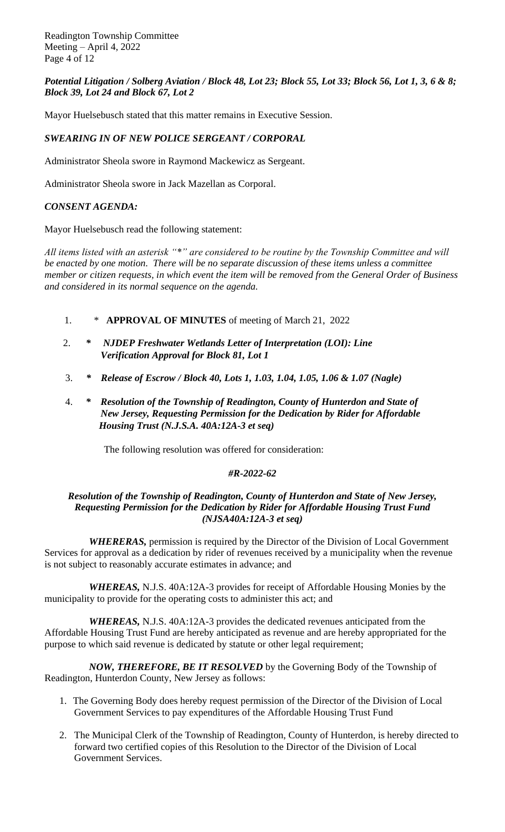Readington Township Committee Meeting – April 4, 2022 Page 4 of 12

# *Potential Litigation / Solberg Aviation / Block 48, Lot 23; Block 55, Lot 33; Block 56, Lot 1, 3, 6 & 8; Block 39, Lot 24 and Block 67, Lot 2*

Mayor Huelsebusch stated that this matter remains in Executive Session.

# *SWEARING IN OF NEW POLICE SERGEANT / CORPORAL*

Administrator Sheola swore in Raymond Mackewicz as Sergeant.

Administrator Sheola swore in Jack Mazellan as Corporal.

# *CONSENT AGENDA:*

Mayor Huelsebusch read the following statement:

*All items listed with an asterisk "\*" are considered to be routine by the Township Committee and will be enacted by one motion. There will be no separate discussion of these items unless a committee member or citizen requests, in which event the item will be removed from the General Order of Business and considered in its normal sequence on the agenda.*

- 1. \* **APPROVAL OF MINUTES** of meeting of March 21, 2022
- 2. *\* NJDEP Freshwater Wetlands Letter of Interpretation (LOI): Line Verification Approval for Block 81, Lot 1*
- 3. *\* Release of Escrow / Block 40, Lots 1, 1.03, 1.04, 1.05, 1.06 & 1.07 (Nagle)*
- 4. *\* Resolution of the Township of Readington, County of Hunterdon and State of New Jersey, Requesting Permission for the Dedication by Rider for Affordable Housing Trust (N.J.S.A. 40A:12A-3 et seq)*

The following resolution was offered for consideration:

## *#R-2022-62*

## *Resolution of the Township of Readington, County of Hunterdon and State of New Jersey, Requesting Permission for the Dedication by Rider for Affordable Housing Trust Fund (NJSA40A:12A-3 et seq)*

*WHERERAS,* permission is required by the Director of the Division of Local Government Services for approval as a dedication by rider of revenues received by a municipality when the revenue is not subject to reasonably accurate estimates in advance; and

*WHEREAS,* N.J.S. 40A:12A-3 provides for receipt of Affordable Housing Monies by the municipality to provide for the operating costs to administer this act; and

*WHEREAS,* N.J.S. 40A:12A-3 provides the dedicated revenues anticipated from the Affordable Housing Trust Fund are hereby anticipated as revenue and are hereby appropriated for the purpose to which said revenue is dedicated by statute or other legal requirement;

*NOW, THEREFORE, BE IT RESOLVED* by the Governing Body of the Township of Readington, Hunterdon County, New Jersey as follows:

- 1. The Governing Body does hereby request permission of the Director of the Division of Local Government Services to pay expenditures of the Affordable Housing Trust Fund
- 2. The Municipal Clerk of the Township of Readington, County of Hunterdon, is hereby directed to forward two certified copies of this Resolution to the Director of the Division of Local Government Services.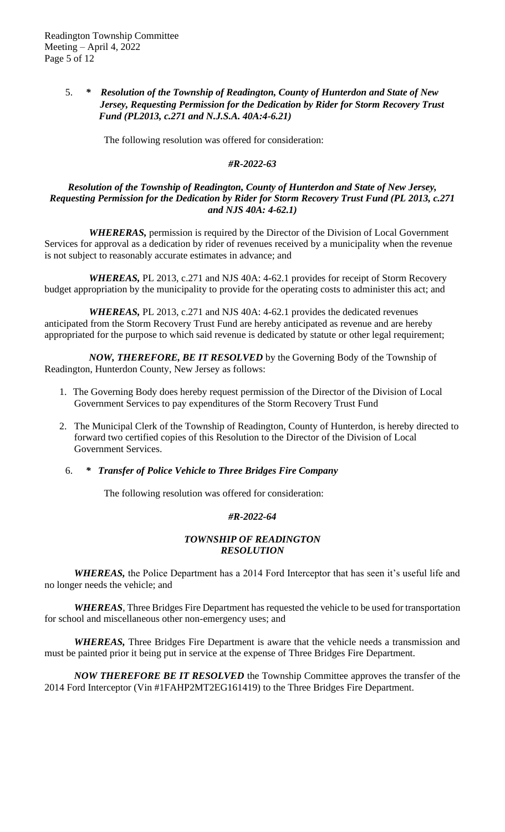## 5. *\* Resolution of the Township of Readington, County of Hunterdon and State of New Jersey, Requesting Permission for the Dedication by Rider for Storm Recovery Trust Fund (PL2013, c.271 and N.J.S.A. 40A:4-6.21)*

The following resolution was offered for consideration:

## *#R-2022-63*

## *Resolution of the Township of Readington, County of Hunterdon and State of New Jersey, Requesting Permission for the Dedication by Rider for Storm Recovery Trust Fund (PL 2013, c.271 and NJS 40A: 4-62.1)*

*WHERERAS,* permission is required by the Director of the Division of Local Government Services for approval as a dedication by rider of revenues received by a municipality when the revenue is not subject to reasonably accurate estimates in advance; and

*WHEREAS,* PL 2013, c.271 and NJS 40A: 4-62.1 provides for receipt of Storm Recovery budget appropriation by the municipality to provide for the operating costs to administer this act; and

*WHEREAS,* PL 2013, c.271 and NJS 40A: 4-62.1 provides the dedicated revenues anticipated from the Storm Recovery Trust Fund are hereby anticipated as revenue and are hereby appropriated for the purpose to which said revenue is dedicated by statute or other legal requirement;

*NOW, THEREFORE, BE IT RESOLVED* by the Governing Body of the Township of Readington, Hunterdon County, New Jersey as follows:

- 1. The Governing Body does hereby request permission of the Director of the Division of Local Government Services to pay expenditures of the Storm Recovery Trust Fund
- 2. The Municipal Clerk of the Township of Readington, County of Hunterdon, is hereby directed to forward two certified copies of this Resolution to the Director of the Division of Local Government Services.
	- 6. *\* Transfer of Police Vehicle to Three Bridges Fire Company*

The following resolution was offered for consideration:

## *#R-2022-64*

## *TOWNSHIP OF READINGTON RESOLUTION*

*WHEREAS,* the Police Department has a 2014 Ford Interceptor that has seen it's useful life and no longer needs the vehicle; and

*WHEREAS*, Three Bridges Fire Department has requested the vehicle to be used for transportation for school and miscellaneous other non-emergency uses; and

*WHEREAS,* Three Bridges Fire Department is aware that the vehicle needs a transmission and must be painted prior it being put in service at the expense of Three Bridges Fire Department.

*NOW THEREFORE BE IT RESOLVED* the Township Committee approves the transfer of the 2014 Ford Interceptor (Vin #1FAHP2MT2EG161419) to the Three Bridges Fire Department.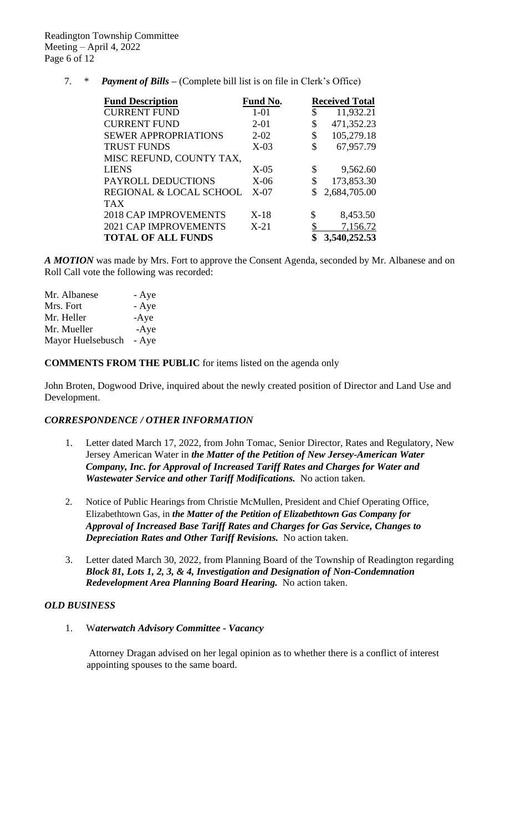7. \* *Payment of Bills –* (Complete bill list is on file in Clerk's Office)

| <b>Fund Description</b>      | Fund No. | <b>Received Total</b> |
|------------------------------|----------|-----------------------|
| <b>CURRENT FUND</b>          | $1 - 01$ | \$<br>11,932.21       |
| <b>CURRENT FUND</b>          | $2 - 01$ | \$<br>471,352.23      |
| <b>SEWER APPROPRIATIONS</b>  | $2 - 02$ | \$<br>105,279.18      |
| <b>TRUST FUNDS</b>           | $X-03$   | \$<br>67,957.79       |
| MISC REFUND, COUNTY TAX,     |          |                       |
| <b>LIENS</b>                 | $X-05$   | \$<br>9,562.60        |
| PAYROLL DEDUCTIONS           | $X-06$   | \$<br>173,853.30      |
| REGIONAL & LOCAL SCHOOL      | $X-07$   | 2,684,705.00          |
| <b>TAX</b>                   |          |                       |
| <b>2018 CAP IMPROVEMENTS</b> | $X-18$   | \$<br>8,453.50        |
| <b>2021 CAP IMPROVEMENTS</b> | $X-21$   | 7,156.72              |
| <b>TOTAL OF ALL FUNDS</b>    |          | 3,540,252.53          |

*A MOTION* was made by Mrs. Fort to approve the Consent Agenda, seconded by Mr. Albanese and on Roll Call vote the following was recorded:

| - Aye  |
|--------|
| - Aye  |
| $-Aye$ |
| $-Aye$ |
| - Aye  |
|        |

**COMMENTS FROM THE PUBLIC** for items listed on the agenda only

John Broten, Dogwood Drive, inquired about the newly created position of Director and Land Use and Development.

## *CORRESPONDENCE / OTHER INFORMATION*

- 1. Letter dated March 17, 2022, from John Tomac, Senior Director, Rates and Regulatory, New Jersey American Water in *the Matter of the Petition of New Jersey-American Water Company, Inc. for Approval of Increased Tariff Rates and Charges for Water and Wastewater Service and other Tariff Modifications.* No action taken.
- 2. Notice of Public Hearings from Christie McMullen, President and Chief Operating Office, Elizabethtown Gas, in *the Matter of the Petition of Elizabethtown Gas Company for Approval of Increased Base Tariff Rates and Charges for Gas Service, Changes to Depreciation Rates and Other Tariff Revisions.* No action taken.
- 3. Letter dated March 30, 2022, from Planning Board of the Township of Readington regarding *Block 81, Lots 1, 2, 3, & 4, Investigation and Designation of Non-Condemnation Redevelopment Area Planning Board Hearing.* No action taken.

# *OLD BUSINESS*

1. W*aterwatch Advisory Committee - Vacancy*

Attorney Dragan advised on her legal opinion as to whether there is a conflict of interest appointing spouses to the same board.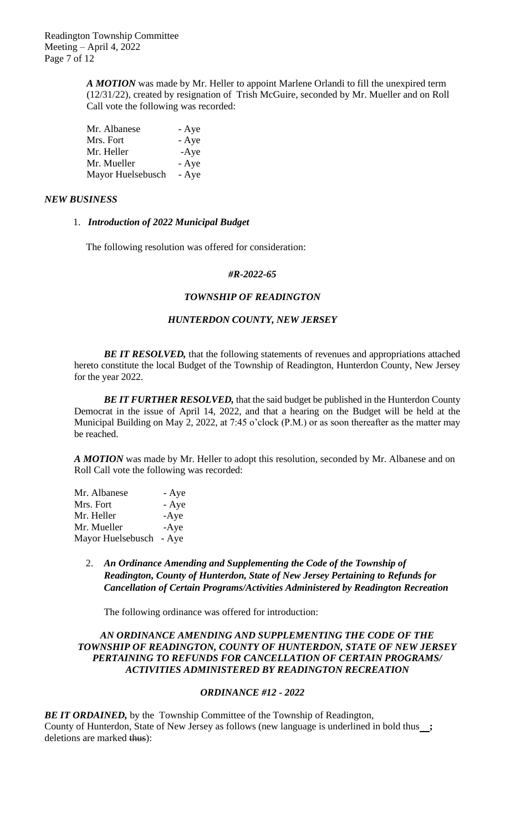*A MOTION* was made by Mr. Heller to appoint Marlene Orlandi to fill the unexpired term (12/31/22), created by resignation of Trish McGuire, seconded by Mr. Mueller and on Roll Call vote the following was recorded:

| Mr. Albanese      | - Aye  |
|-------------------|--------|
| Mrs. Fort         | - Aye  |
| Mr. Heller        | $-Aye$ |
| Mr. Mueller       | - Aye  |
| Mayor Huelsebusch | - Aye  |

### *NEW BUSINESS*

### 1. *Introduction of 2022 Municipal Budget*

The following resolution was offered for consideration:

#### *#R-2022-65*

## *TOWNSHIP OF READINGTON*

#### *HUNTERDON COUNTY, NEW JERSEY*

**BE IT RESOLVED**, that the following statements of revenues and appropriations attached hereto constitute the local Budget of the Township of Readington, Hunterdon County, New Jersey for the year 2022.

*BE IT FURTHER RESOLVED,* that the said budget be published in the Hunterdon County Democrat in the issue of April 14, 2022, and that a hearing on the Budget will be held at the Municipal Building on May 2, 2022, at 7:45 o'clock (P.M.) or as soon thereafter as the matter may be reached.

*A MOTION* was made by Mr. Heller to adopt this resolution, seconded by Mr. Albanese and on Roll Call vote the following was recorded:

| Mr. Albanese            | - Aye  |
|-------------------------|--------|
| Mrs. Fort               | - Aye  |
| Mr. Heller              | $-Aye$ |
| Mr. Mueller             | $-Aye$ |
| Mayor Huelsebusch - Aye |        |

2. *An Ordinance Amending and Supplementing the Code of the Township of Readington, County of Hunterdon, State of New Jersey Pertaining to Refunds for Cancellation of Certain Programs/Activities Administered by Readington Recreation* 

The following ordinance was offered for introduction:

### *AN ORDINANCE AMENDING AND SUPPLEMENTING THE CODE OF THE TOWNSHIP OF READINGTON, COUNTY OF HUNTERDON, STATE OF NEW JERSEY PERTAINING TO REFUNDS FOR CANCELLATION OF CERTAIN PROGRAMS/ ACTIVITIES ADMINISTERED BY READINGTON RECREATION*

## *ORDINANCE #12 - 2022*

**BE IT ORDAINED,** by the Township Committee of the Township of Readington, County of Hunterdon, State of New Jersey as follows (new language is underlined in bold thus **;** deletions are marked thus):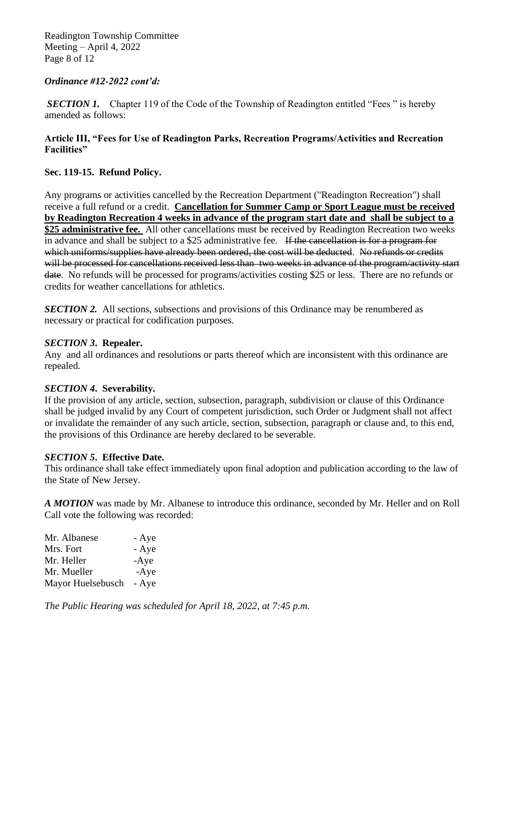Readington Township Committee Meeting – April 4, 2022 Page 8 of 12

## *Ordinance #12-2022 cont'd:*

*SECTION 1.* Chapter 119 of the Code of the Township of Readington entitled "Fees" is hereby amended as follows:

## **Article III, "Fees for Use of Readington Parks, Recreation Programs/Activities and Recreation Facilities"**

## **Sec. 119-15. Refund Policy.**

Any programs or activities cancelled by the Recreation Department ("Readington Recreation") shall receive a full refund or a credit. **Cancellation for Summer Camp or Sport League must be received by Readington Recreation 4 weeks in advance of the program start date and shall be subject to a \$25 administrative fee.** All other cancellations must be received by Readington Recreation two weeks in advance and shall be subject to a \$25 administrative fee. If the cancellation is for a program for which uniforms/supplies have already been ordered, the cost will be deducted. No refunds or credits will be processed for cancellations received less than two weeks in advance of the program/activity start date. No refunds will be processed for programs/activities costing \$25 or less. There are no refunds or credits for weather cancellations for athletics.

**SECTION 2.** All sections, subsections and provisions of this Ordinance may be renumbered as necessary or practical for codification purposes.

## *SECTION 3***. Repealer.**

Any and all ordinances and resolutions or parts thereof which are inconsistent with this ordinance are repealed.

## *SECTION 4***. Severability.**

If the provision of any article, section, subsection, paragraph, subdivision or clause of this Ordinance shall be judged invalid by any Court of competent jurisdiction, such Order or Judgment shall not affect or invalidate the remainder of any such article, section, subsection, paragraph or clause and, to this end, the provisions of this Ordinance are hereby declared to be severable.

## *SECTION 5***. Effective Date.**

This ordinance shall take effect immediately upon final adoption and publication according to the law of the State of New Jersey.

*A MOTION* was made by Mr. Albanese to introduce this ordinance, seconded by Mr. Heller and on Roll Call vote the following was recorded:

| Mr. Albanese      | - Aye  |
|-------------------|--------|
| Mrs. Fort         | - Aye  |
| Mr. Heller        | $-Aye$ |
| Mr. Mueller       | $-Aye$ |
| Mayor Huelsebusch | - Aye  |

*The Public Hearing was scheduled for April 18, 2022, at 7:45 p.m.*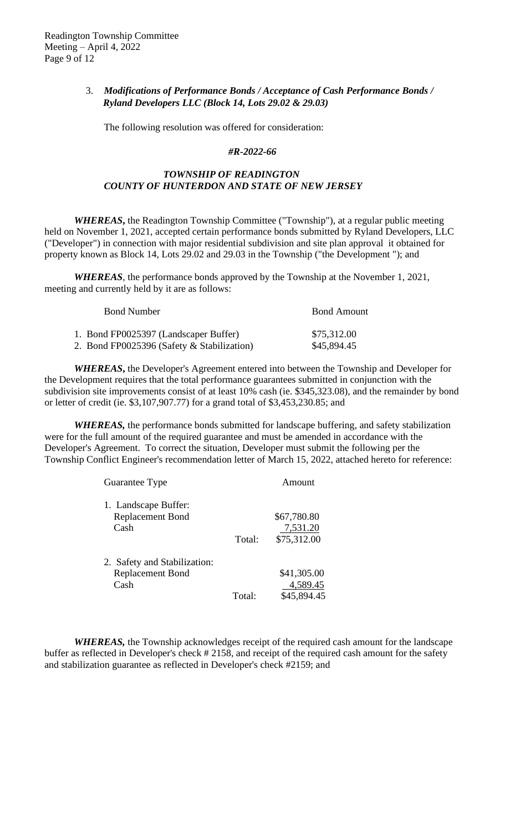# 3. *Modifications of Performance Bonds / Acceptance of Cash Performance Bonds / Ryland Developers LLC (Block 14, Lots 29.02 & 29.03)*

The following resolution was offered for consideration:

#### *#R-2022-66*

## *TOWNSHIP OF READINGTON COUNTY OF HUNTERDON AND STATE OF NEW JERSEY*

*WHEREAS***,** the Readington Township Committee ("Township"), at a regular public meeting held on November 1, 2021, accepted certain performance bonds submitted by Ryland Developers, LLC ("Developer") in connection with major residential subdivision and site plan approval it obtained for property known as Block 14, Lots 29.02 and 29.03 in the Township ("the Development "); and

*WHEREAS*, the performance bonds approved by the Township at the November 1, 2021, meeting and currently held by it are as follows:

| <b>Bond Number</b>                         |  | <b>Bond Amount</b> |  |
|--------------------------------------------|--|--------------------|--|
| 1. Bond FP0025397 (Landscaper Buffer)      |  | \$75,312.00        |  |
| 2. Bond FP0025396 (Safety & Stabilization) |  | \$45,894.45        |  |

*WHEREAS***,** the Developer's Agreement entered into between the Township and Developer for the Development requires that the total performance guarantees submitted in conjunction with the subdivision site improvements consist of at least 10% cash (ie. \$345,323.08), and the remainder by bond or letter of credit (ie. \$3,107,907.77) for a grand total of \$3,453,230.85; and

*WHEREAS,* the performance bonds submitted for landscape buffering, and safety stabilization were for the full amount of the required guarantee and must be amended in accordance with the Developer's Agreement. To correct the situation, Developer must submit the following per the Township Conflict Engineer's recommendation letter of March 15, 2022, attached hereto for reference:

| Guarantee Type               | Amount |             |  |
|------------------------------|--------|-------------|--|
| 1. Landscape Buffer:         |        |             |  |
| <b>Replacement Bond</b>      |        | \$67,780.80 |  |
| Cash                         |        | 7,531.20    |  |
|                              | Total: | \$75,312.00 |  |
| 2. Safety and Stabilization: |        |             |  |
| <b>Replacement Bond</b>      |        | \$41,305.00 |  |
| Cash                         |        | 4,589.45    |  |
|                              | Total: | \$45,894.45 |  |

*WHEREAS,* the Township acknowledges receipt of the required cash amount for the landscape buffer as reflected in Developer's check # 2158, and receipt of the required cash amount for the safety and stabilization guarantee as reflected in Developer's check #2159; and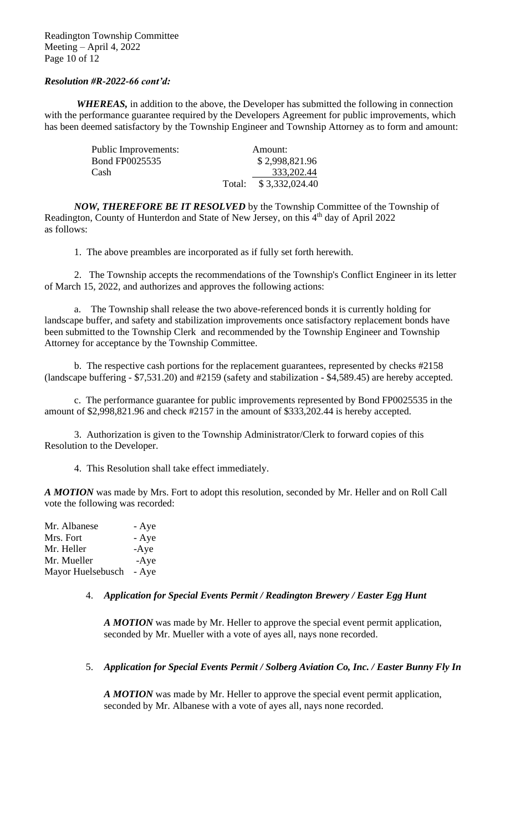## *Resolution #R-2022-66 cont'd:*

*WHEREAS,* in addition to the above, the Developer has submitted the following in connection with the performance guarantee required by the Developers Agreement for public improvements, which has been deemed satisfactory by the Township Engineer and Township Attorney as to form and amount:

| Public Improvements:  |        | Amount:        |
|-----------------------|--------|----------------|
| <b>Bond FP0025535</b> |        | \$2,998,821.96 |
| Cash                  |        | 333, 202. 44   |
|                       | Total: | \$3,332,024.40 |

*NOW, THEREFORE BE IT RESOLVED* by the Township Committee of the Township of Readington, County of Hunterdon and State of New Jersey, on this 4<sup>th</sup> day of April 2022 as follows:

1. The above preambles are incorporated as if fully set forth herewith.

2. The Township accepts the recommendations of the Township's Conflict Engineer in its letter of March 15, 2022, and authorizes and approves the following actions:

a. The Township shall release the two above-referenced bonds it is currently holding for landscape buffer, and safety and stabilization improvements once satisfactory replacement bonds have been submitted to the Township Clerk and recommended by the Township Engineer and Township Attorney for acceptance by the Township Committee.

b. The respective cash portions for the replacement guarantees, represented by checks #2158 (landscape buffering - \$7,531.20) and #2159 (safety and stabilization - \$4,589.45) are hereby accepted.

c. The performance guarantee for public improvements represented by Bond FP0025535 in the amount of \$2,998,821.96 and check #2157 in the amount of \$333,202.44 is hereby accepted.

 3. Authorization is given to the Township Administrator/Clerk to forward copies of this Resolution to the Developer.

4. This Resolution shall take effect immediately.

*A MOTION* was made by Mrs. Fort to adopt this resolution, seconded by Mr. Heller and on Roll Call vote the following was recorded:

| Mr. Albanese      | - Aye  |
|-------------------|--------|
| Mrs. Fort         | - Aye  |
| Mr. Heller        | $-Aye$ |
| Mr. Mueller       | $-Aye$ |
| Mayor Huelsebusch | - Aye  |

## 4. *Application for Special Events Permit / Readington Brewery / Easter Egg Hunt*

*A MOTION* was made by Mr. Heller to approve the special event permit application, seconded by Mr. Mueller with a vote of ayes all, nays none recorded.

## 5. *Application for Special Events Permit / Solberg Aviation Co, Inc. / Easter Bunny Fly In*

*A MOTION* was made by Mr. Heller to approve the special event permit application, seconded by Mr. Albanese with a vote of ayes all, nays none recorded.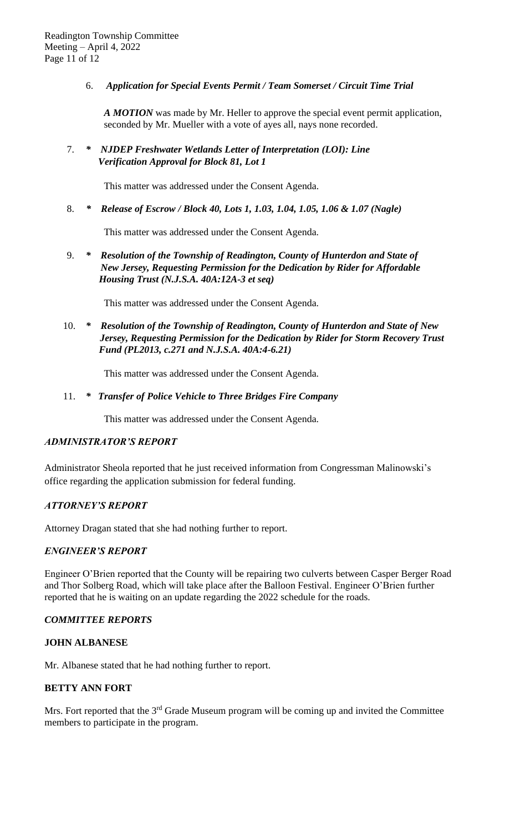6. *Application for Special Events Permit / Team Somerset / Circuit Time Trial* 

*A MOTION* was made by Mr. Heller to approve the special event permit application, seconded by Mr. Mueller with a vote of ayes all, nays none recorded.

7. *\* NJDEP Freshwater Wetlands Letter of Interpretation (LOI): Line Verification Approval for Block 81, Lot 1*

This matter was addressed under the Consent Agenda.

8. *\* Release of Escrow / Block 40, Lots 1, 1.03, 1.04, 1.05, 1.06 & 1.07 (Nagle)*

This matter was addressed under the Consent Agenda.

9. *\* Resolution of the Township of Readington, County of Hunterdon and State of New Jersey, Requesting Permission for the Dedication by Rider for Affordable Housing Trust (N.J.S.A. 40A:12A-3 et seq)*

This matter was addressed under the Consent Agenda.

10. *\* Resolution of the Township of Readington, County of Hunterdon and State of New Jersey, Requesting Permission for the Dedication by Rider for Storm Recovery Trust Fund (PL2013, c.271 and N.J.S.A. 40A:4-6.21)*

This matter was addressed under the Consent Agenda.

## 11. *\* Transfer of Police Vehicle to Three Bridges Fire Company*

This matter was addressed under the Consent Agenda.

## *ADMINISTRATOR'S REPORT*

Administrator Sheola reported that he just received information from Congressman Malinowski's office regarding the application submission for federal funding.

## *ATTORNEY'S REPORT*

Attorney Dragan stated that she had nothing further to report.

## *ENGINEER'S REPORT*

Engineer O'Brien reported that the County will be repairing two culverts between Casper Berger Road and Thor Solberg Road, which will take place after the Balloon Festival. Engineer O'Brien further reported that he is waiting on an update regarding the 2022 schedule for the roads.

## *COMMITTEE REPORTS*

## **JOHN ALBANESE**

Mr. Albanese stated that he had nothing further to report.

## **BETTY ANN FORT**

Mrs. Fort reported that the 3<sup>rd</sup> Grade Museum program will be coming up and invited the Committee members to participate in the program.